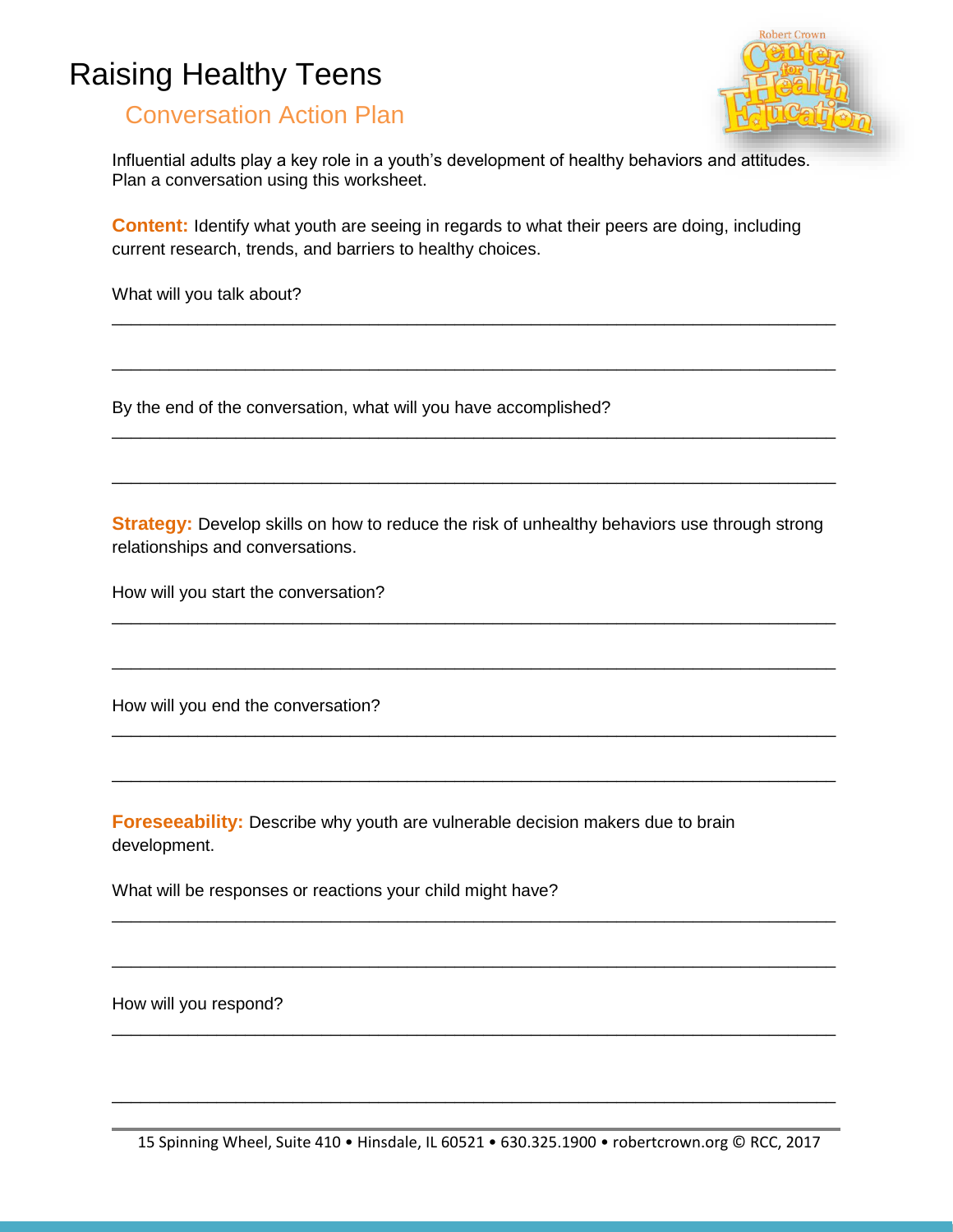## Raising Healthy Teens



## Conversation Action Plan

Influential adults play a key role in a youth's development of healthy behaviors and attitudes. Plan a conversation using this worksheet.

**Content:** Identify what youth are seeing in regards to what their peers are doing, including current research, trends, and barriers to healthy choices.

\_\_\_\_\_\_\_\_\_\_\_\_\_\_\_\_\_\_\_\_\_\_\_\_\_\_\_\_\_\_\_\_\_\_\_\_\_\_\_\_\_\_\_\_\_\_\_\_\_\_\_\_\_\_\_\_\_\_\_\_\_\_\_\_\_\_\_\_\_\_\_\_\_\_\_\_

\_\_\_\_\_\_\_\_\_\_\_\_\_\_\_\_\_\_\_\_\_\_\_\_\_\_\_\_\_\_\_\_\_\_\_\_\_\_\_\_\_\_\_\_\_\_\_\_\_\_\_\_\_\_\_\_\_\_\_\_\_\_\_\_\_\_\_\_\_\_\_\_\_\_\_\_

\_\_\_\_\_\_\_\_\_\_\_\_\_\_\_\_\_\_\_\_\_\_\_\_\_\_\_\_\_\_\_\_\_\_\_\_\_\_\_\_\_\_\_\_\_\_\_\_\_\_\_\_\_\_\_\_\_\_\_\_\_\_\_\_\_\_\_\_\_\_\_\_\_\_\_\_

\_\_\_\_\_\_\_\_\_\_\_\_\_\_\_\_\_\_\_\_\_\_\_\_\_\_\_\_\_\_\_\_\_\_\_\_\_\_\_\_\_\_\_\_\_\_\_\_\_\_\_\_\_\_\_\_\_\_\_\_\_\_\_\_\_\_\_\_\_\_\_\_\_\_\_\_

What will you talk about?

By the end of the conversation, what will you have accomplished?

**Strategy:** Develop skills on how to reduce the risk of unhealthy behaviors use through strong relationships and conversations.

\_\_\_\_\_\_\_\_\_\_\_\_\_\_\_\_\_\_\_\_\_\_\_\_\_\_\_\_\_\_\_\_\_\_\_\_\_\_\_\_\_\_\_\_\_\_\_\_\_\_\_\_\_\_\_\_\_\_\_\_\_\_\_\_\_\_\_\_\_\_\_\_\_\_\_\_

\_\_\_\_\_\_\_\_\_\_\_\_\_\_\_\_\_\_\_\_\_\_\_\_\_\_\_\_\_\_\_\_\_\_\_\_\_\_\_\_\_\_\_\_\_\_\_\_\_\_\_\_\_\_\_\_\_\_\_\_\_\_\_\_\_\_\_\_\_\_\_\_\_\_\_\_

\_\_\_\_\_\_\_\_\_\_\_\_\_\_\_\_\_\_\_\_\_\_\_\_\_\_\_\_\_\_\_\_\_\_\_\_\_\_\_\_\_\_\_\_\_\_\_\_\_\_\_\_\_\_\_\_\_\_\_\_\_\_\_\_\_\_\_\_\_\_\_\_\_\_\_\_

\_\_\_\_\_\_\_\_\_\_\_\_\_\_\_\_\_\_\_\_\_\_\_\_\_\_\_\_\_\_\_\_\_\_\_\_\_\_\_\_\_\_\_\_\_\_\_\_\_\_\_\_\_\_\_\_\_\_\_\_\_\_\_\_\_\_\_\_\_\_\_\_\_\_\_\_

\_\_\_\_\_\_\_\_\_\_\_\_\_\_\_\_\_\_\_\_\_\_\_\_\_\_\_\_\_\_\_\_\_\_\_\_\_\_\_\_\_\_\_\_\_\_\_\_\_\_\_\_\_\_\_\_\_\_\_\_\_\_\_\_\_\_\_\_\_\_\_\_\_\_\_\_

\_\_\_\_\_\_\_\_\_\_\_\_\_\_\_\_\_\_\_\_\_\_\_\_\_\_\_\_\_\_\_\_\_\_\_\_\_\_\_\_\_\_\_\_\_\_\_\_\_\_\_\_\_\_\_\_\_\_\_\_\_\_\_\_\_\_\_\_\_\_\_\_\_\_\_\_

\_\_\_\_\_\_\_\_\_\_\_\_\_\_\_\_\_\_\_\_\_\_\_\_\_\_\_\_\_\_\_\_\_\_\_\_\_\_\_\_\_\_\_\_\_\_\_\_\_\_\_\_\_\_\_\_\_\_\_\_\_\_\_\_\_\_\_\_\_\_\_\_\_\_\_\_

\_\_\_\_\_\_\_\_\_\_\_\_\_\_\_\_\_\_\_\_\_\_\_\_\_\_\_\_\_\_\_\_\_\_\_\_\_\_\_\_\_\_\_\_\_\_\_\_\_\_\_\_\_\_\_\_\_\_\_\_\_\_\_\_\_\_\_\_\_\_\_\_\_\_\_\_

How will you start the conversation?

How will you end the conversation?

**Foreseeability:** Describe why youth are vulnerable decision makers due to brain development.

What will be responses or reactions your child might have?

How will you respond?